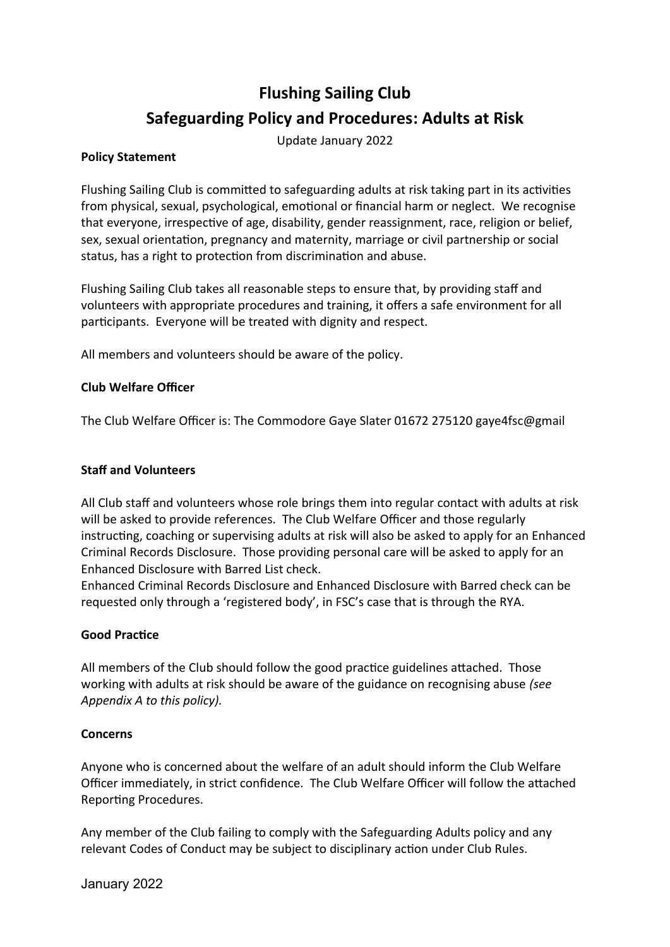# **Flushing Sailing Club Safeguarding Policy and Procedures: Adults at Risk**

Update January 2022

#### **Policy Statement**

Flushing Sailing Club is committed to safeguarding adults at risk taking part in its activities from physical, sexual, psychological, emotional or financial harm or neglect. We recognise that everyone, irrespective of age, disability, gender reassignment, race, religion or belief, sex, sexual orientation, pregnancy and maternity, marriage or civil partnership or social status, has a right to protection from discrimination and abuse.

Flushing Sailing Club takes all reasonable steps to ensure that, by providing staff and volunteers with appropriate procedures and training, it offers a safe environment for all participants. Everyone will be treated with dignity and respect.

All members and volunteers should be aware of the policy.

#### **Club Welfare Officer**

The Club Welfare Officer is: The Commodore Gaye Slater 01672 275120 gaye4fsc@gmail

#### **Staff and Volunteers**

All Club staff and volunteers whose role brings them into regular contact with adults at risk will be asked to provide references. The Club Welfare Officer and those regularly instructing, coaching or supervising adults at risk will also be asked to apply for an Enhanced Criminal Records Disclosure. Those providing personal care will be asked to apply for an Enhanced Disclosure with Barred List check.

Enhanced Criminal Records Disclosure and Enhanced Disclosure with Barred check can be requested only through a 'registered body', in FSC's case that is through the RYA.

#### **Good Practice**

All members of the Club should follow the good practice guidelines attached. Those working with adults at risk should be aware of the guidance on recognising abuse *(see Appendix A to this policy).*

#### **Concerns**

Anyone who is concerned about the welfare of an adult should inform the Club Welfare Officer immediately, in strict confidence. The Club Welfare Officer will follow the attached Reporting Procedures.

Any member of the Club failing to comply with the Safeguarding Adults policy and any relevant Codes of Conduct may be subject to disciplinary action under Club Rules.

January 2022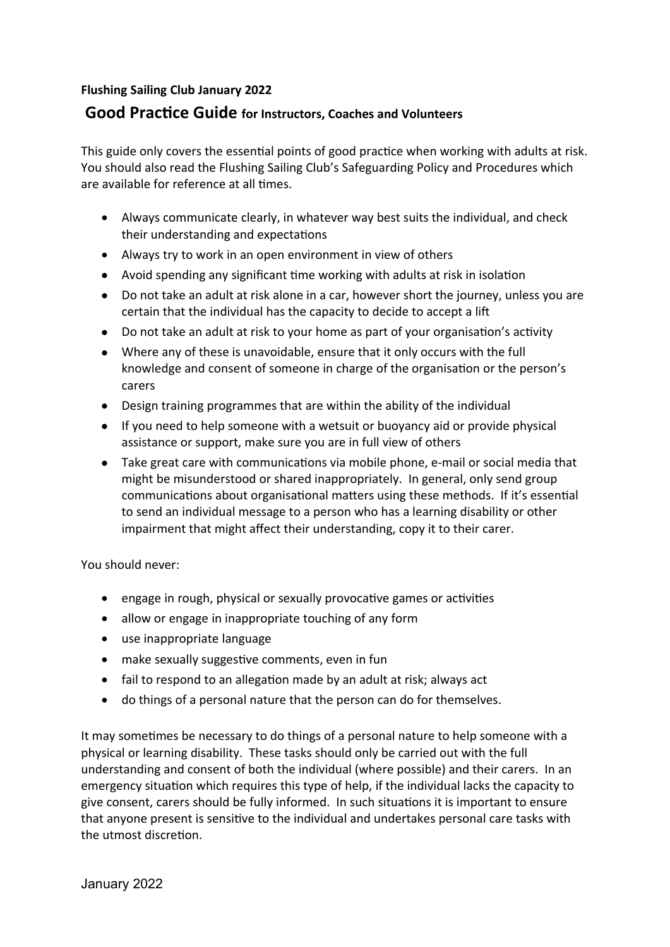### **Flushing Sailing Club January 2022**

## **Good Practice Guide for Instructors, Coaches and Volunteers**

This guide only covers the essential points of good practice when working with adults at risk. You should also read the Flushing Sailing Club's Safeguarding Policy and Procedures which are available for reference at all times.

- Always communicate clearly, in whatever way best suits the individual, and check their understanding and expectations
- Always try to work in an open environment in view of others
- Avoid spending any significant time working with adults at risk in isolation
- Do not take an adult at risk alone in a car, however short the journey, unless you are certain that the individual has the capacity to decide to accept a lift
- Do not take an adult at risk to your home as part of your organisation's activity
- Where any of these is unavoidable, ensure that it only occurs with the full knowledge and consent of someone in charge of the organisation or the person's carers
- Design training programmes that are within the ability of the individual
- If you need to help someone with a wetsuit or buoyancy aid or provide physical assistance or support, make sure you are in full view of others
- Take great care with communications via mobile phone, e-mail or social media that might be misunderstood or shared inappropriately. In general, only send group communications about organisational matters using these methods. If it's essential to send an individual message to a person who has a learning disability or other impairment that might affect their understanding, copy it to their carer.

You should never:

- engage in rough, physical or sexually provocative games or activities
- allow or engage in inappropriate touching of any form
- use inappropriate language
- make sexually suggestive comments, even in fun
- fail to respond to an allegation made by an adult at risk; always act
- do things of a personal nature that the person can do for themselves.

It may sometimes be necessary to do things of a personal nature to help someone with a physical or learning disability. These tasks should only be carried out with the full understanding and consent of both the individual (where possible) and their carers. In an emergency situation which requires this type of help, if the individual lacks the capacity to give consent, carers should be fully informed. In such situations it is important to ensure that anyone present is sensitive to the individual and undertakes personal care tasks with the utmost discretion.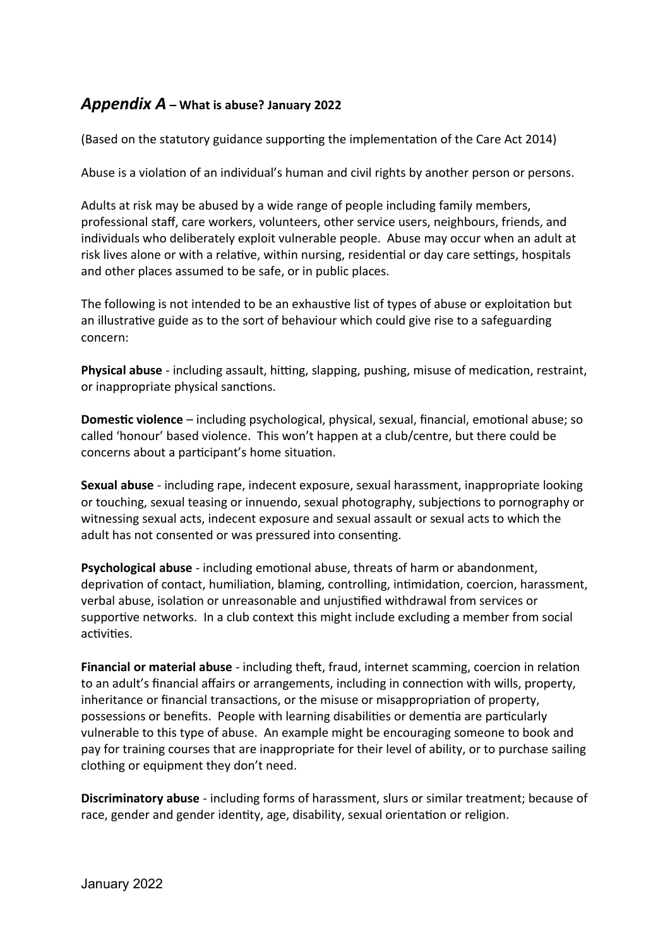## *Appendix A* **– What is abuse? January 2022**

(Based on the statutory guidance supporting the implementation of the Care Act 2014)

Abuse is a violation of an individual's human and civil rights by another person or persons.

Adults at risk may be abused by a wide range of people including family members, professional staff, care workers, volunteers, other service users, neighbours, friends, and individuals who deliberately exploit vulnerable people. Abuse may occur when an adult at risk lives alone or with a relative, within nursing, residential or day care settings, hospitals and other places assumed to be safe, or in public places.

The following is not intended to be an exhaustive list of types of abuse or exploitation but an illustrative guide as to the sort of behaviour which could give rise to a safeguarding concern:

**Physical abuse** - including assault, hitting, slapping, pushing, misuse of medication, restraint, or inappropriate physical sanctions.

**Domestic violence** – including psychological, physical, sexual, financial, emotional abuse; so called 'honour' based violence. This won't happen at a club/centre, but there could be concerns about a participant's home situation.

**Sexual abuse** - including rape, indecent exposure, sexual harassment, inappropriate looking or touching, sexual teasing or innuendo, sexual photography, subjections to pornography or witnessing sexual acts, indecent exposure and sexual assault or sexual acts to which the adult has not consented or was pressured into consenting.

**Psychological abuse** - including emotional abuse, threats of harm or abandonment, deprivation of contact, humiliation, blaming, controlling, intimidation, coercion, harassment, verbal abuse, isolation or unreasonable and unjustified withdrawal from services or supportive networks. In a club context this might include excluding a member from social activities.

**Financial or material abuse** - including theft, fraud, internet scamming, coercion in relation to an adult's financial affairs or arrangements, including in connection with wills, property, inheritance or financial transactions, or the misuse or misappropriation of property, possessions or benefits. People with learning disabilities or dementia are particularly vulnerable to this type of abuse. An example might be encouraging someone to book and pay for training courses that are inappropriate for their level of ability, or to purchase sailing clothing or equipment they don't need.

**Discriminatory abuse** - including forms of harassment, slurs or similar treatment; because of race, gender and gender identity, age, disability, sexual orientation or religion.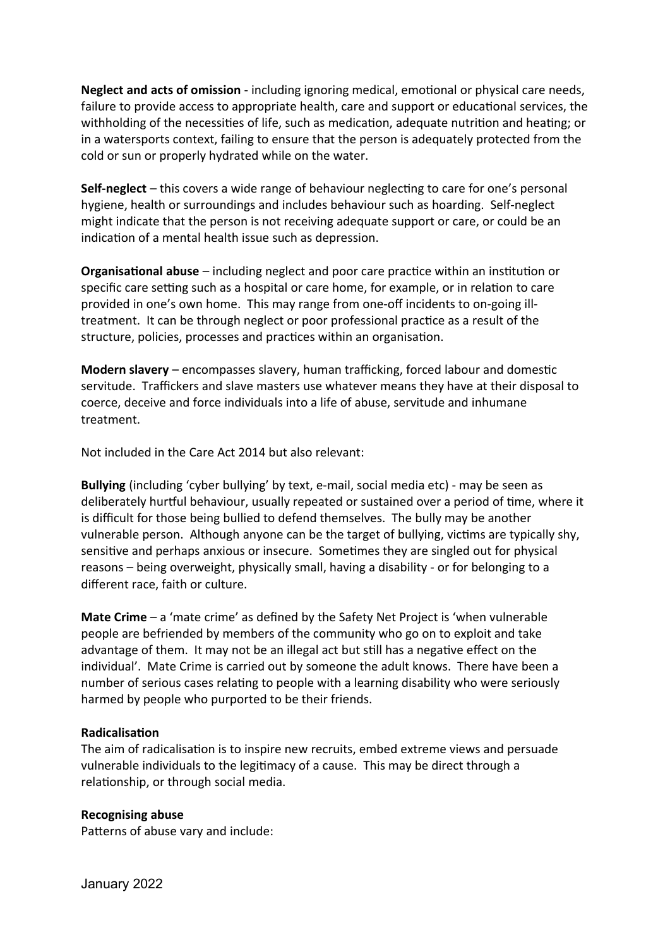**Neglect and acts of omission** - including ignoring medical, emotional or physical care needs, failure to provide access to appropriate health, care and support or educational services, the withholding of the necessities of life, such as medication, adequate nutrition and heating; or in a watersports context, failing to ensure that the person is adequately protected from the cold or sun or properly hydrated while on the water.

**Self-neglect** – this covers a wide range of behaviour neglecting to care for one's personal hygiene, health or surroundings and includes behaviour such as hoarding. Self-neglect might indicate that the person is not receiving adequate support or care, or could be an indication of a mental health issue such as depression.

**Organisational abuse** – including neglect and poor care practice within an institution or specific care setting such as a hospital or care home, for example, or in relation to care provided in one's own home. This may range from one-off incidents to on-going illtreatment. It can be through neglect or poor professional practice as a result of the structure, policies, processes and practices within an organisation.

**Modern slavery** – encompasses slavery, human trafficking, forced labour and domestic servitude. Traffickers and slave masters use whatever means they have at their disposal to coerce, deceive and force individuals into a life of abuse, servitude and inhumane treatment.

Not included in the Care Act 2014 but also relevant:

**Bullying** (including 'cyber bullying' by text, e-mail, social media etc) - may be seen as deliberately hurtful behaviour, usually repeated or sustained over a period of time, where it is difficult for those being bullied to defend themselves. The bully may be another vulnerable person. Although anyone can be the target of bullying, victims are typically shy, sensitive and perhaps anxious or insecure. Sometimes they are singled out for physical reasons – being overweight, physically small, having a disability - or for belonging to a different race, faith or culture.

**Mate Crime** – a 'mate crime' as defined by the Safety Net Project is 'when vulnerable people are befriended by members of the community who go on to exploit and take advantage of them. It may not be an illegal act but still has a negative effect on the individual'. Mate Crime is carried out by someone the adult knows. There have been a number of serious cases relating to people with a learning disability who were seriously harmed by people who purported to be their friends.

#### **Radicalisation**

The aim of radicalisation is to inspire new recruits, embed extreme views and persuade vulnerable individuals to the legitimacy of a cause. This may be direct through a relationship, or through social media.

#### **Recognising abuse**

Patterns of abuse vary and include: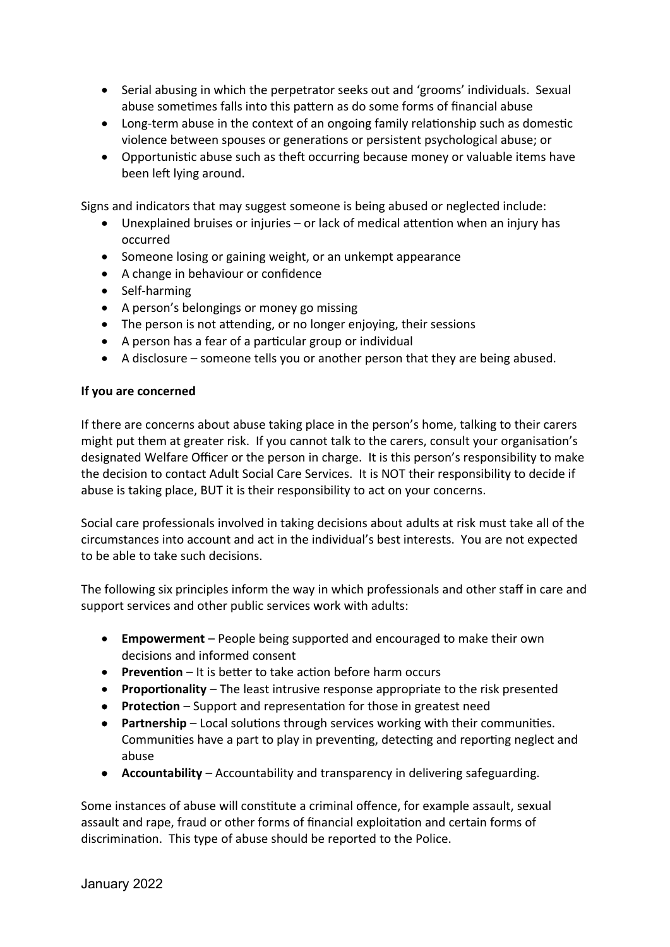- Serial abusing in which the perpetrator seeks out and 'grooms' individuals. Sexual abuse sometimes falls into this pattern as do some forms of financial abuse
- Long-term abuse in the context of an ongoing family relationship such as domestic violence between spouses or generations or persistent psychological abuse; or
- Opportunistic abuse such as theft occurring because money or valuable items have been left lying around.

Signs and indicators that may suggest someone is being abused or neglected include:

- Unexplained bruises or injuries or lack of medical attention when an injury has occurred
- Someone losing or gaining weight, or an unkempt appearance
- A change in behaviour or confidence
- Self-harming
- A person's belongings or money go missing
- The person is not attending, or no longer enjoying, their sessions
- A person has a fear of a particular group or individual
- A disclosure someone tells you or another person that they are being abused.

#### **If you are concerned**

If there are concerns about abuse taking place in the person's home, talking to their carers might put them at greater risk. If you cannot talk to the carers, consult your organisation's designated Welfare Officer or the person in charge. It is this person's responsibility to make the decision to contact Adult Social Care Services. It is NOT their responsibility to decide if abuse is taking place, BUT it is their responsibility to act on your concerns.

Social care professionals involved in taking decisions about adults at risk must take all of the circumstances into account and act in the individual's best interests. You are not expected to be able to take such decisions.

The following six principles inform the way in which professionals and other staff in care and support services and other public services work with adults:

- **Empowerment** People being supported and encouraged to make their own decisions and informed consent
- **Prevention** It is better to take action before harm occurs
- **Proportionality** The least intrusive response appropriate to the risk presented
- **Protection** Support and representation for those in greatest need
- **Partnership** Local solutions through services working with their communities. Communities have a part to play in preventing, detecting and reporting neglect and abuse
- **Accountability** Accountability and transparency in delivering safeguarding.

Some instances of abuse will constitute a criminal offence, for example assault, sexual assault and rape, fraud or other forms of financial exploitation and certain forms of discrimination. This type of abuse should be reported to the Police.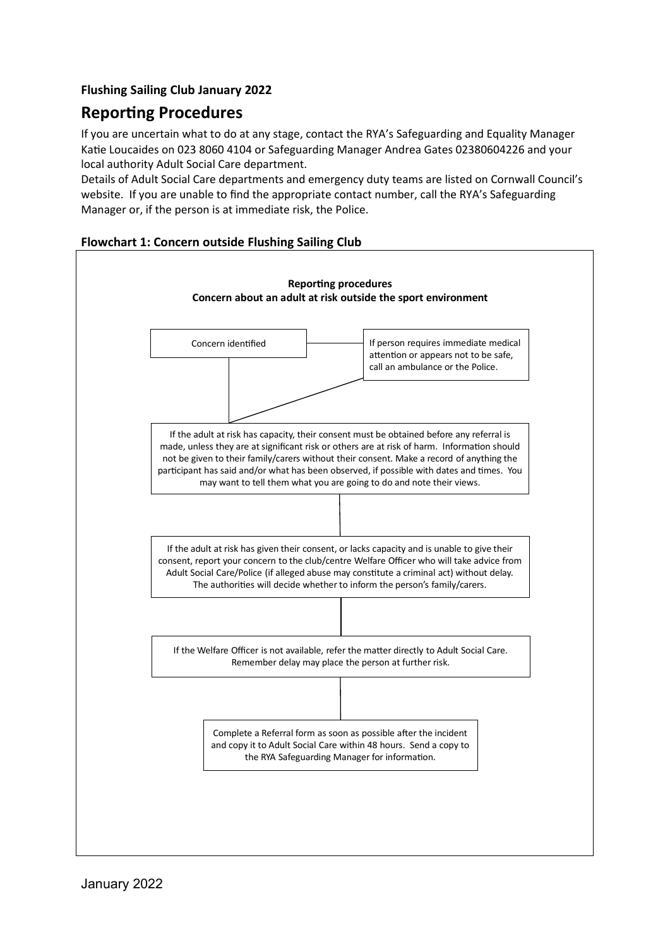## **Flushing Sailing Club January 2022**

# **Reporting Procedures**

If you are uncertain what to do at any stage, contact the RYA's Safeguarding and Equality Manager Katie Loucaides on 023 8060 4104 or Safeguarding Manager Andrea Gates 02380604226 and your local authority Adult Social Care department.

Details of Adult Social Care departments and emergency duty teams are listed on Cornwall Council's website. If you are unable to find the appropriate contact number, call the RYA's Safeguarding Manager or, if the person is at immediate risk, the Police.

#### **Flowchart 1: Concern outside Flushing Sailing Club**

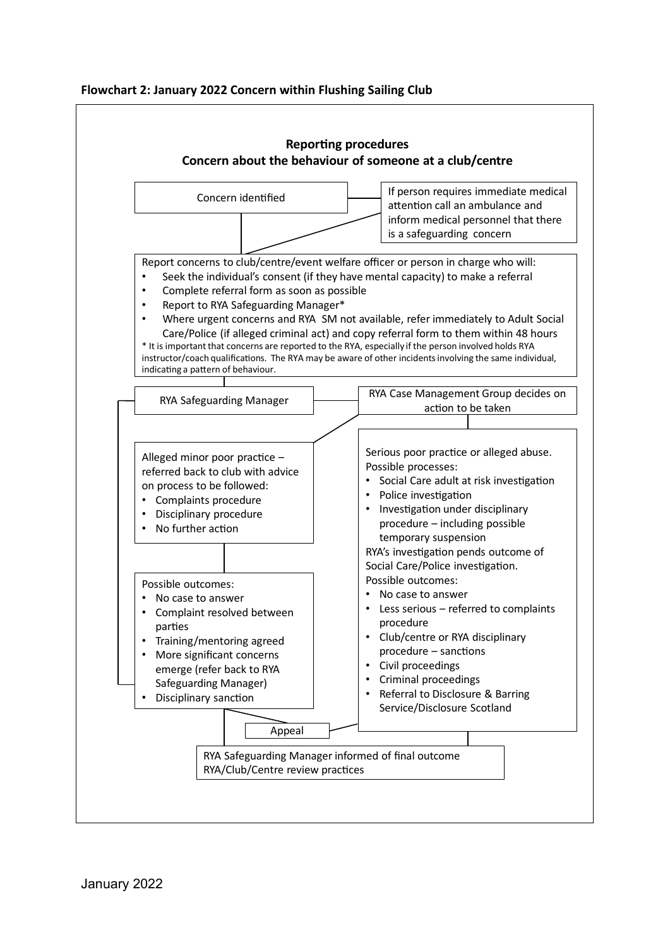#### **Flowchart 2: January 2022 Concern within Flushing Sailing Club**